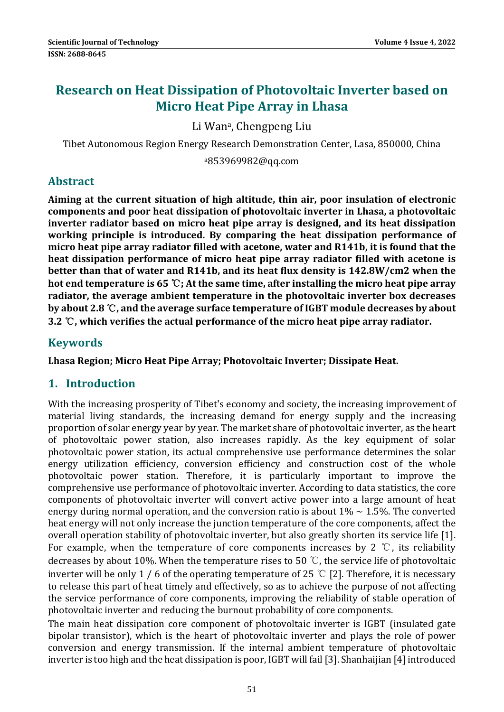# **Research on Heat Dissipation of Photovoltaic Inverter based on Micro Heat Pipe Array in Lhasa**

Li Wan<sup>a</sup>, Chengpeng Liu

Tibet Autonomous Region Energy Research Demonstration Center, Lasa, 850000, China

a853969982@qq.com 

## **Abstract**

**Aiming at the current situation of high altitude, thin air, poor insulation of electronic components and poor heat dissipation of photovoltaic inverter in Lhasa, a photovoltaic inverter radiator based on micro heat pipe array is designed, and its heat dissipation working principle is introduced. By comparing the heat dissipation performance of micro heat pipe array radiator filled with acetone, water and R141b, it is found that the heat dissipation performance of micro heat pipe array radiator filled with acetone is better than that of water and R141b, and its heat flux density is 142.8W/cm2 when the hot end temperature is 65** ℃**; At the same time, after installing the micro heat pipe array radiator, the average ambient temperature in the photovoltaic inverter box decreases by about 2.8** ℃**, and the average surface temperature of IGBT module decreases by about 3.2** ℃**, which verifies the actual performance of the micro heat pipe array radiator.**

## **Keywords**

**Lhasa Region; Micro Heat Pipe Array; Photovoltaic Inverter; Dissipate Heat.**

### **1. Introduction**

With the increasing prosperity of Tibet's economy and society, the increasing improvement of material living standards, the increasing demand for energy supply and the increasing proportion of solar energy year by year. The market share of photovoltaic inverter, as the heart of photovoltaic power station, also increases rapidly. As the key equipment of solar photovoltaic power station, its actual comprehensive use performance determines the solar energy utilization efficiency, conversion efficiency and construction cost of the whole photovoltaic power station. Therefore, it is particularly important to improve the comprehensive use performance of photovoltaic inverter. According to data statistics, the core components of photovoltaic inverter will convert active power into a large amount of heat energy during normal operation, and the conversion ratio is about  $1\% \sim 1.5\%$ . The converted heat energy will not only increase the junction temperature of the core components, affect the overall operation stability of photovoltaic inverter, but also greatly shorten its service life [1]. For example, when the temperature of core components increases by 2  $\degree$ C, its reliability decreases by about 10%. When the temperature rises to 50 °C, the service life of photovoltaic inverter will be only 1 / 6 of the operating temperature of 25 °C [2]. Therefore, it is necessary to release this part of heat timely and effectively, so as to achieve the purpose of not affecting the service performance of core components, improving the reliability of stable operation of photovoltaic inverter and reducing the burnout probability of core components.

The main heat dissipation core component of photovoltaic inverter is IGBT (insulated gate bipolar transistor), which is the heart of photovoltaic inverter and plays the role of power conversion and energy transmission. If the internal ambient temperature of photovoltaic inverter is too high and the heat dissipation is poor, IGBT will fail [3]. Shanhaijian [4] introduced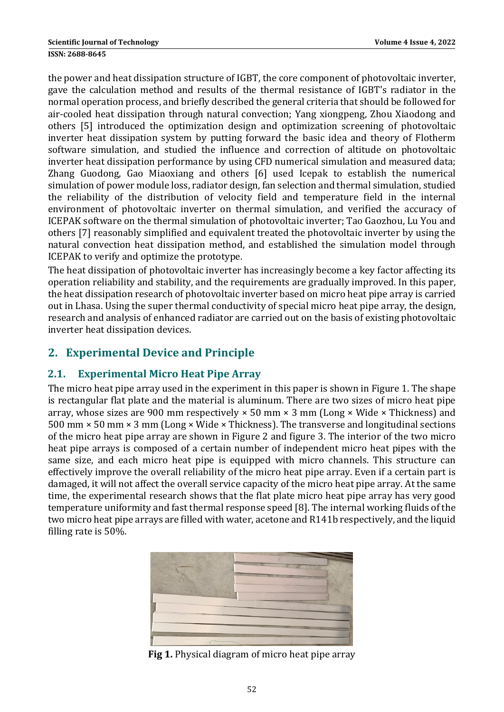the power and heat dissipation structure of IGBT, the core component of photovoltaic inverter, gave the calculation method and results of the thermal resistance of IGBT's radiator in the normal operation process, and briefly described the general criteria that should be followed for air-cooled heat dissipation through natural convection; Yang xiongpeng, Zhou Xiaodong and others [5] introduced the optimization design and optimization screening of photovoltaic inverter heat dissipation system by putting forward the basic idea and theory of Flotherm software simulation, and studied the influence and correction of altitude on photovoltaic inverter heat dissipation performance by using CFD numerical simulation and measured data; Zhang Guodong, Gao Miaoxiang and others [6] used Icepak to establish the numerical simulation of power module loss, radiator design, fan selection and thermal simulation, studied the reliability of the distribution of velocity field and temperature field in the internal environment of photovoltaic inverter on thermal simulation, and verified the accuracy of ICEPAK software on the thermal simulation of photovoltaic inverter; Tao Gaozhou, Lu You and others [7] reasonably simplified and equivalent treated the photovoltaic inverter by using the natural convection heat dissipation method, and established the simulation model through ICEPAK to verify and optimize the prototype.

The heat dissipation of photovoltaic inverter has increasingly become a key factor affecting its operation reliability and stability, and the requirements are gradually improved. In this paper, the heat dissipation research of photovoltaic inverter based on micro heat pipe array is carried out in Lhasa. Using the super thermal conductivity of special micro heat pipe array, the design, research and analysis of enhanced radiator are carried out on the basis of existing photovoltaic inverter heat dissipation devices.

## **2. Experimental Device and Principle**

### **2.1. Experimental Micro Heat Pipe Array**

The micro heat pipe array used in the experiment in this paper is shown in Figure 1. The shape is rectangular flat plate and the material is aluminum. There are two sizes of micro heat pipe array, whose sizes are 900 mm respectively  $\times$  50 mm  $\times$  3 mm (Long  $\times$  Wide  $\times$  Thickness) and 500 mm  $\times$  50 mm  $\times$  3 mm (Long  $\times$  Wide  $\times$  Thickness). The transverse and longitudinal sections of the micro heat pipe array are shown in Figure 2 and figure 3. The interior of the two micro heat pipe arrays is composed of a certain number of independent micro heat pipes with the same size, and each micro heat pipe is equipped with micro channels. This structure can effectively improve the overall reliability of the micro heat pipe array. Even if a certain part is damaged, it will not affect the overall service capacity of the micro heat pipe array. At the same time, the experimental research shows that the flat plate micro heat pipe array has very good temperature uniformity and fast thermal response speed [8]. The internal working fluids of the two micro heat pipe arrays are filled with water, acetone and R141b respectively, and the liquid filling rate is  $50%$ .



**Fig 1.** Physical diagram of micro heat pipe array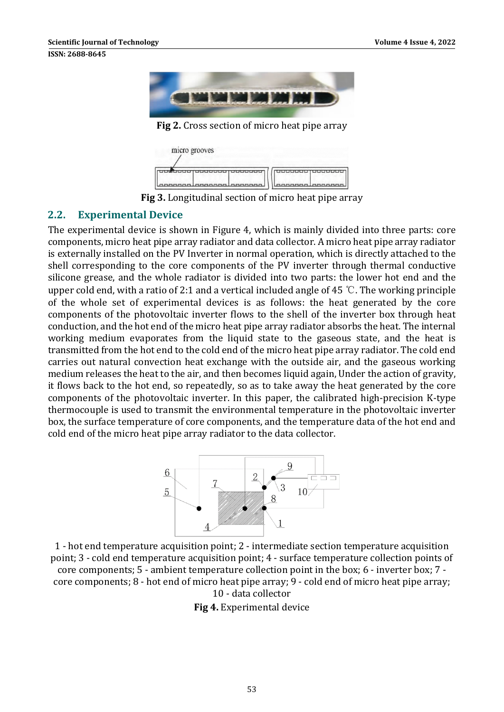

**Fig 2.** Cross section of micro heat pipe array

| micro grooves                |                        |
|------------------------------|------------------------|
|                              |                        |
| <u>ananggo laganggo lang</u> | <u>noonnoo loonnoo</u> |

**Fig 3.** Longitudinal section of micro heat pipe array

### **2.2. Experimental Device**

The experimental device is shown in Figure 4, which is mainly divided into three parts: core components, micro heat pipe array radiator and data collector. A micro heat pipe array radiator is externally installed on the PV Inverter in normal operation, which is directly attached to the shell corresponding to the core components of the PV inverter through thermal conductive silicone grease, and the whole radiator is divided into two parts: the lower hot end and the upper cold end, with a ratio of 2:1 and a vertical included angle of 45 °C. The working principle of the whole set of experimental devices is as follows: the heat generated by the core components of the photovoltaic inverter flows to the shell of the inverter box through heat conduction, and the hot end of the micro heat pipe array radiator absorbs the heat. The internal working medium evaporates from the liquid state to the gaseous state, and the heat is transmitted from the hot end to the cold end of the micro heat pipe array radiator. The cold end carries out natural convection heat exchange with the outside air, and the gaseous working medium releases the heat to the air, and then becomes liquid again, Under the action of gravity, it flows back to the hot end, so repeatedly, so as to take away the heat generated by the core components of the photovoltaic inverter. In this paper, the calibrated high-precision K-type thermocouple is used to transmit the environmental temperature in the photovoltaic inverter box, the surface temperature of core components, and the temperature data of the hot end and cold end of the micro heat pipe array radiator to the data collector.



1 - hot end temperature acquisition point; 2 - intermediate section temperature acquisition point; 3 - cold end temperature acquisition point; 4 - surface temperature collection points of core components; 5 - ambient temperature collection point in the box; 6 - inverter box; 7  $core\,components; 8 - hot\,end\,of\,micro\,heat\,pipe\,array; 9 - cold\,end\,of\,micro\,heat\,pipe\,array;$ 10 - data collector

#### **Fig 4.** Experimental device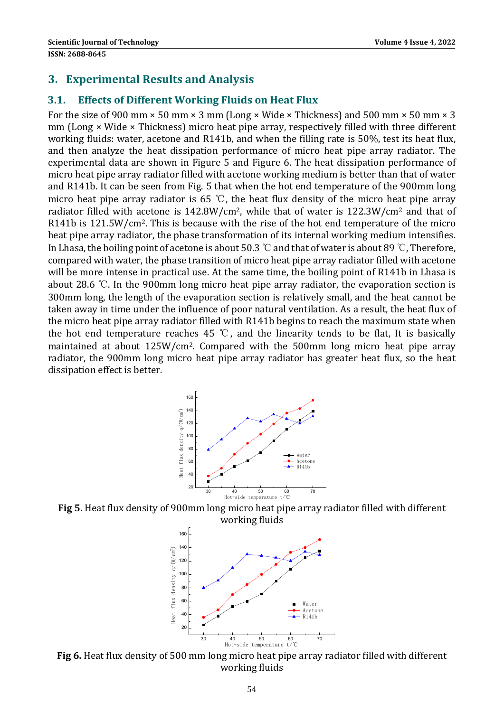### **3. Experimental Results and Analysis**

#### **3.1. Effects of Different Working Fluids on Heat Flux**

For the size of 900 mm  $\times$  50 mm  $\times$  3 mm (Long  $\times$  Wide  $\times$  Thickness) and 500 mm  $\times$  50 mm  $\times$  3 mm (Long  $\times$  Wide  $\times$  Thickness) micro heat pipe array, respectively filled with three different working fluids: water, acetone and R141b, and when the filling rate is  $50\%$ , test its heat flux, and then analyze the heat dissipation performance of micro heat pipe array radiator. The experimental data are shown in Figure 5 and Figure 6. The heat dissipation performance of micro heat pipe array radiator filled with acetone working medium is better than that of water and R141b. It can be seen from Fig. 5 that when the hot end temperature of the 900mm long micro heat pipe array radiator is  $65^{\degree}$ C, the heat flux density of the micro heat pipe array radiator filled with acetone is  $142.8W/cm^2$ , while that of water is  $122.3W/cm^2$  and that of R141b is  $121.5W/cm<sup>2</sup>$ . This is because with the rise of the hot end temperature of the micro heat pipe array radiator, the phase transformation of its internal working medium intensifies. In Lhasa, the boiling point of acetone is about 50.3  $\degree$  and that of water is about 89  $\degree$ C, Therefore, compared with water, the phase transition of micro heat pipe array radiator filled with acetone will be more intense in practical use. At the same time, the boiling point of R141b in Lhasa is about 28.6  $\degree$ C. In the 900mm long micro heat pipe array radiator, the evaporation section is 300mm long, the length of the evaporation section is relatively small, and the heat cannot be taken away in time under the influence of poor natural ventilation. As a result, the heat flux of the micro heat pipe array radiator filled with R141b begins to reach the maximum state when the hot end temperature reaches 45  $\degree$ C, and the linearity tends to be flat, It is basically maintained at about 125W/cm<sup>2</sup>. Compared with the 500mm long micro heat pipe array radiator, the 900mm long micro heat pipe array radiator has greater heat flux, so the heat dissipation effect is better.



Fig 5. Heat flux density of 900mm long micro heat pipe array radiator filled with different working fluids



**Fig 6.** Heat flux density of 500 mm long micro heat pipe array radiator filled with different working fluids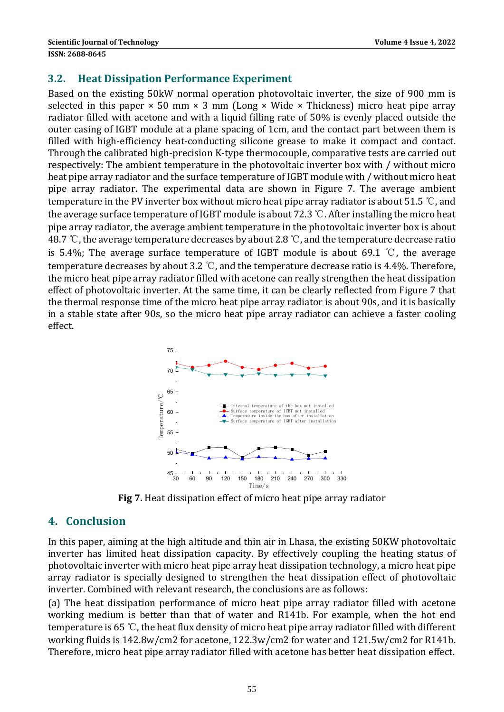#### **3.2. Heat Dissipation Performance Experiment**

Based on the existing 50kW normal operation photovoltaic inverter, the size of 900 mm is selected in this paper  $\times$  50 mm  $\times$  3 mm (Long  $\times$  Wide  $\times$  Thickness) micro heat pipe array radiator filled with acetone and with a liquid filling rate of 50% is evenly placed outside the outer casing of IGBT module at a plane spacing of 1cm, and the contact part between them is filled with high-efficiency heat-conducting silicone grease to make it compact and contact. Through the calibrated high-precision K-type thermocouple, comparative tests are carried out respectively: The ambient temperature in the photovoltaic inverter box with / without micro heat pipe array radiator and the surface temperature of IGBT module with / without micro heat pipe array radiator. The experimental data are shown in Figure 7. The average ambient temperature in the PV inverter box without micro heat pipe array radiator is about 51.5 °C, and the average surface temperature of IGBT module is about  $72.3$  °C. After installing the micro heat pipe array radiator, the average ambient temperature in the photovoltaic inverter box is about 48.7 °C, the average temperature decreases by about 2.8 °C, and the temperature decrease ratio is 5.4%; The average surface temperature of IGBT module is about 69.1  $\degree$ C, the average temperature decreases by about 3.2 °C, and the temperature decrease ratio is 4.4%. Therefore, the micro heat pipe array radiator filled with acetone can really strengthen the heat dissipation effect of photovoltaic inverter. At the same time, it can be clearly reflected from Figure 7 that the thermal response time of the micro heat pipe array radiator is about 90s, and it is basically in a stable state after 90s, so the micro heat pipe array radiator can achieve a faster cooling effect. 



**Fig 7.** Heat dissipation effect of micro heat pipe array radiator

### **4. Conclusion**

In this paper, aiming at the high altitude and thin air in Lhasa, the existing 50KW photovoltaic inverter has limited heat dissipation capacity. By effectively coupling the heating status of photovoltaic inverter with micro heat pipe array heat dissipation technology, a micro heat pipe array radiator is specially designed to strengthen the heat dissipation effect of photovoltaic inverter. Combined with relevant research, the conclusions are as follows:

(a) The heat dissipation performance of micro heat pipe array radiator filled with acetone working medium is better than that of water and R141b. For example, when the hot end temperature is 65 °C, the heat flux density of micro heat pipe array radiator filled with different working fluids is 142.8w/cm2 for acetone, 122.3w/cm2 for water and 121.5w/cm2 for R141b. Therefore, micro heat pipe array radiator filled with acetone has better heat dissipation effect.